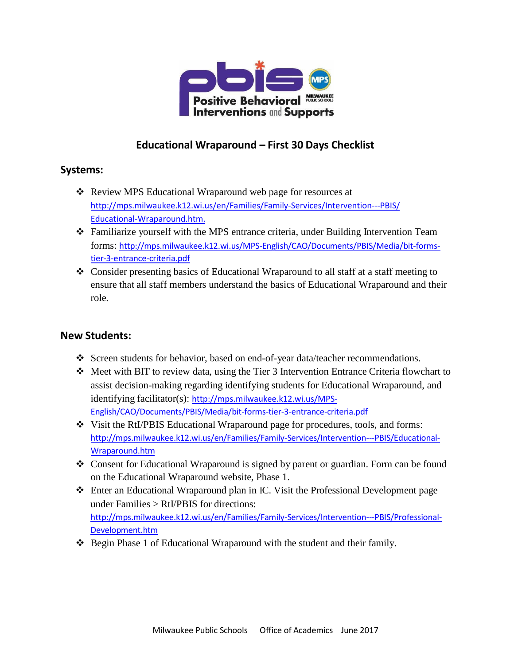

# **Educational Wraparound – First 30 Days Checklist**

# **Systems:**

- Review MPS Educational Wraparound web page for resources at [http://mps.milwaukee.k12.wi.us/en/Families/Family-Services/Intervention---PBIS/](http://mps.milwaukee.k12.wi.us/en/Families/Family-Services/Intervention---PBIS/Educational-Wraparound.htm) [Educational-Wrap](http://mps.milwaukee.k12.wi.us/en/Families/Family-Services/Intervention---PBIS/Educational-Wraparound.htm)around.htm.
- $\div$  Familiarize yourself with the MPS entrance criteria, under Building Intervention Team forms: [http://mps.milwaukee.k12.wi.us/MPS-English/CAO/Documents/PBIS/Media/bit-forms](http://mps.milwaukee.k12.wi.us/MPS-English/CAO/Documents/PBIS/Media/bit-forms-tier-3-entrance-criteria.pdf)[tier-3-entrance-criteria.pdf](http://mps.milwaukee.k12.wi.us/MPS-English/CAO/Documents/PBIS/Media/bit-forms-tier-3-entrance-criteria.pdf)
- Consider presenting basics of Educational Wraparound to all staff at a staff meeting to ensure that all staff members understand the basics of Educational Wraparound and their role.

# **New Students:**

- Screen students for behavior, based on end-of-year data/teacher recommendations.
- Meet with BIT to review data, using the Tier 3 Intervention Entrance Criteria flowchart to assist decision-making regarding identifying students for Educational Wraparound, and identifying facilitator(s): [http://mps.milwaukee.k12.wi.us/MPS-](http://mps.milwaukee.k12.wi.us/MPS-English/CAO/Documents/PBIS/Media/bit-forms-tier-3-entrance-criteria.pdf)[English/CAO/Documents/PBIS/Media/bit-forms-tier-3-entrance-criteria.pdf](http://mps.milwaukee.k12.wi.us/MPS-English/CAO/Documents/PBIS/Media/bit-forms-tier-3-entrance-criteria.pdf)
- Visit the RtI/PBIS Educational Wraparound page for procedures, tools, and forms: [http://mps.milwaukee.k12.wi.us/en/Families/Family-Services/Intervention---PBIS/Educational-](http://mps.milwaukee.k12.wi.us/en/Families/Family-Services/Intervention---PBIS/Educational-Wraparound.htm)[Wraparound.htm](http://mps.milwaukee.k12.wi.us/en/Families/Family-Services/Intervention---PBIS/Educational-Wraparound.htm)
- Consent for Educational Wraparound is signed by parent or guardian. Form can be found on the Educational Wraparound website, Phase 1.
- Enter an Educational Wraparound plan in IC. Visit the Professional Development page under Families > RtI/PBIS for directions: [http://mps.milwaukee.k12.wi.us/en/Families/Family-Services/Intervention---PBIS/Professional-](http://mps.milwaukee.k12.wi.us/en/Families/Family-Services/Intervention---PBIS/Professional-Development.htm)[Development.htm](http://mps.milwaukee.k12.wi.us/en/Families/Family-Services/Intervention---PBIS/Professional-Development.htm)
- ◆ Begin Phase 1 of Educational Wraparound with the student and their family.